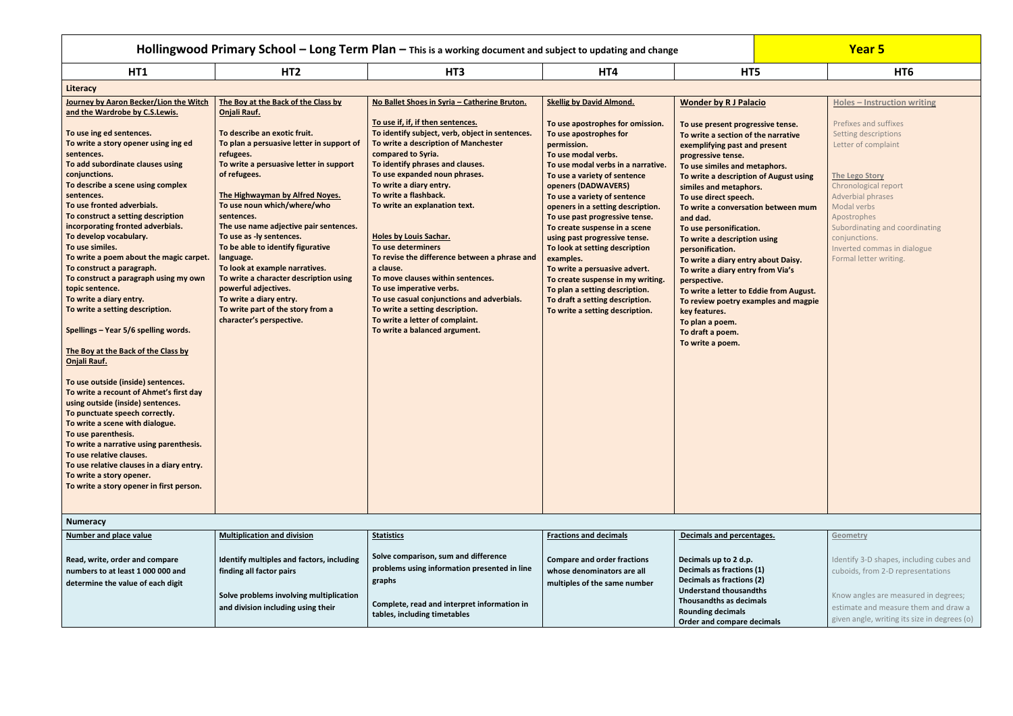| Hollingwood Primary School - Long Term Plan - This is a working document and subject to updating and change                                                                                                                                                                                                                                                                                                                                                                                                                                                                                                                                                                                                                                                                                                                                                                                                                                                                                                                                                                                                                                    |                                                                                                                                                                                                                                                                                                                                                                                                                                                                                                                                                                                                                  |                                                                                                                                                                                                                                                                                                                                                                                                                                                                                                                                                                                                                                                                                                         |                                                                                                                                                                                                                                                                                                                                                                                                                                                                                                                                                                                                                                        |                                                                                                                                                                                                                                                                                                                                                                                                                                                                                                                                                                                                                                                                                            | <b>Year 5</b> |                                                                                                                                                                                                                                                                                                                     |  |
|------------------------------------------------------------------------------------------------------------------------------------------------------------------------------------------------------------------------------------------------------------------------------------------------------------------------------------------------------------------------------------------------------------------------------------------------------------------------------------------------------------------------------------------------------------------------------------------------------------------------------------------------------------------------------------------------------------------------------------------------------------------------------------------------------------------------------------------------------------------------------------------------------------------------------------------------------------------------------------------------------------------------------------------------------------------------------------------------------------------------------------------------|------------------------------------------------------------------------------------------------------------------------------------------------------------------------------------------------------------------------------------------------------------------------------------------------------------------------------------------------------------------------------------------------------------------------------------------------------------------------------------------------------------------------------------------------------------------------------------------------------------------|---------------------------------------------------------------------------------------------------------------------------------------------------------------------------------------------------------------------------------------------------------------------------------------------------------------------------------------------------------------------------------------------------------------------------------------------------------------------------------------------------------------------------------------------------------------------------------------------------------------------------------------------------------------------------------------------------------|----------------------------------------------------------------------------------------------------------------------------------------------------------------------------------------------------------------------------------------------------------------------------------------------------------------------------------------------------------------------------------------------------------------------------------------------------------------------------------------------------------------------------------------------------------------------------------------------------------------------------------------|--------------------------------------------------------------------------------------------------------------------------------------------------------------------------------------------------------------------------------------------------------------------------------------------------------------------------------------------------------------------------------------------------------------------------------------------------------------------------------------------------------------------------------------------------------------------------------------------------------------------------------------------------------------------------------------------|---------------|---------------------------------------------------------------------------------------------------------------------------------------------------------------------------------------------------------------------------------------------------------------------------------------------------------------------|--|
| HT1                                                                                                                                                                                                                                                                                                                                                                                                                                                                                                                                                                                                                                                                                                                                                                                                                                                                                                                                                                                                                                                                                                                                            | HT <sub>2</sub>                                                                                                                                                                                                                                                                                                                                                                                                                                                                                                                                                                                                  | HT <sub>3</sub>                                                                                                                                                                                                                                                                                                                                                                                                                                                                                                                                                                                                                                                                                         | HT4                                                                                                                                                                                                                                                                                                                                                                                                                                                                                                                                                                                                                                    | HT5                                                                                                                                                                                                                                                                                                                                                                                                                                                                                                                                                                                                                                                                                        |               | HT <sub>6</sub>                                                                                                                                                                                                                                                                                                     |  |
| Literacy                                                                                                                                                                                                                                                                                                                                                                                                                                                                                                                                                                                                                                                                                                                                                                                                                                                                                                                                                                                                                                                                                                                                       |                                                                                                                                                                                                                                                                                                                                                                                                                                                                                                                                                                                                                  |                                                                                                                                                                                                                                                                                                                                                                                                                                                                                                                                                                                                                                                                                                         |                                                                                                                                                                                                                                                                                                                                                                                                                                                                                                                                                                                                                                        |                                                                                                                                                                                                                                                                                                                                                                                                                                                                                                                                                                                                                                                                                            |               |                                                                                                                                                                                                                                                                                                                     |  |
| Journey by Aaron Becker/Lion the Witch<br>and the Wardrobe by C.S.Lewis.<br>To use ing ed sentences.<br>To write a story opener using ing ed<br>sentences.<br>To add subordinate clauses using<br>conjunctions.<br>To describe a scene using complex<br>sentences.<br>To use fronted adverbials.<br>To construct a setting description<br>incorporating fronted adverbials.<br>To develop vocabulary.<br>To use similes.<br>To write a poem about the magic carpet.<br>To construct a paragraph.<br>To construct a paragraph using my own<br>topic sentence.<br>To write a diary entry.<br>To write a setting description.<br>Spellings - Year 5/6 spelling words.<br>The Boy at the Back of the Class by<br><b>Onjali Rauf.</b><br>To use outside (inside) sentences.<br>To write a recount of Ahmet's first day<br>using outside (inside) sentences.<br>To punctuate speech correctly.<br>To write a scene with dialogue.<br>To use parenthesis.<br>To write a narrative using parenthesis.<br>To use relative clauses.<br>To use relative clauses in a diary entry.<br>To write a story opener.<br>To write a story opener in first person. | The Boy at the Back of the Class by<br>Onjali Rauf.<br>To describe an exotic fruit.<br>To plan a persuasive letter in support of<br>refugees.<br>To write a persuasive letter in support<br>of refugees.<br>The Highwayman by Alfred Noyes.<br>To use noun which/where/who<br>sentences.<br>The use name adjective pair sentences.<br>To use as -ly sentences.<br>To be able to identify figurative<br>language.<br>To look at example narratives.<br>To write a character description using<br>powerful adjectives.<br>To write a diary entry.<br>To write part of the story from a<br>character's perspective. | No Ballet Shoes in Syria - Catherine Bruton.<br>To use if, if, if then sentences.<br>To identify subject, verb, object in sentences.<br>To write a description of Manchester<br>compared to Syria.<br>To identify phrases and clauses.<br>To use expanded noun phrases.<br>To write a diary entry.<br>To write a flashback.<br>To write an explanation text.<br><b>Holes by Louis Sachar.</b><br>To use determiners<br>To revise the difference between a phrase and<br>a clause.<br>To move clauses within sentences.<br>To use imperative verbs.<br>To use casual conjunctions and adverbials.<br>To write a setting description.<br>To write a letter of complaint.<br>To write a balanced argument. | <b>Skellig by David Almond.</b><br>To use apostrophes for omission.<br>To use apostrophes for<br>permission.<br>To use modal verbs.<br>To use modal verbs in a narrative.<br>To use a variety of sentence<br>openers (DADWAVERS)<br>To use a variety of sentence<br>openers in a setting description.<br>To use past progressive tense.<br>To create suspense in a scene<br>using past progressive tense.<br>To look at setting description<br>examples.<br>To write a persuasive advert.<br>To create suspense in my writing.<br>To plan a setting description.<br>To draft a setting description.<br>To write a setting description. | <b>Wonder by R J Palacio</b><br>To use present progressive tense.<br>To write a section of the narrative<br>exemplifying past and present<br>progressive tense.<br>To use similes and metaphors.<br>To write a description of August using<br>similes and metaphors.<br>To use direct speech.<br>To write a conversation between mum<br>and dad.<br>To use personification.<br>To write a description using<br>personification.<br>To write a diary entry about Daisy.<br>To write a diary entry from Via's<br>perspective.<br>To write a letter to Eddie from August.<br>To review poetry examples and magpie<br>key features.<br>To plan a poem.<br>To draft a poem.<br>To write a poem. |               | <b>Holes - Instruction writing</b><br>Prefixes and suffixes<br>Setting descriptions<br>Letter of complaint<br>The Lego Story<br>Chronological report<br>Adverbial phrases<br>Modal verbs<br>Apostrophes<br>Subordinating and coordinating<br>conjunctions.<br>Inverted commas in dialogue<br>Formal letter writing. |  |
| <b>Numeracy</b>                                                                                                                                                                                                                                                                                                                                                                                                                                                                                                                                                                                                                                                                                                                                                                                                                                                                                                                                                                                                                                                                                                                                |                                                                                                                                                                                                                                                                                                                                                                                                                                                                                                                                                                                                                  |                                                                                                                                                                                                                                                                                                                                                                                                                                                                                                                                                                                                                                                                                                         |                                                                                                                                                                                                                                                                                                                                                                                                                                                                                                                                                                                                                                        |                                                                                                                                                                                                                                                                                                                                                                                                                                                                                                                                                                                                                                                                                            |               |                                                                                                                                                                                                                                                                                                                     |  |
| <b>Number and place value</b><br>Read, write, order and compare<br>numbers to at least 1 000 000 and<br>determine the value of each digit                                                                                                                                                                                                                                                                                                                                                                                                                                                                                                                                                                                                                                                                                                                                                                                                                                                                                                                                                                                                      | <b>Multiplication and division</b><br>Identify multiples and factors, including<br>finding all factor pairs<br>Solve problems involving multiplication                                                                                                                                                                                                                                                                                                                                                                                                                                                           | <b>Statistics</b><br>Solve comparison, sum and difference<br>problems using information presented in line<br>graphs<br>Complete, read and interpret information in                                                                                                                                                                                                                                                                                                                                                                                                                                                                                                                                      | <b>Fractions and decimals</b><br><b>Compare and order fractions</b><br>whose denominators are all<br>multiples of the same number                                                                                                                                                                                                                                                                                                                                                                                                                                                                                                      | Decimals and percentages.<br>Decimals up to 2 d.p.<br>Decimals as fractions (1)<br><b>Decimals as fractions (2)</b><br><b>Understand thousandths</b><br>Thousandths as decimals                                                                                                                                                                                                                                                                                                                                                                                                                                                                                                            |               | Geometry<br>Identify 3-D shapes, including cubes and<br>cuboids, from 2-D representations<br>Know angles are measured in degrees;                                                                                                                                                                                   |  |
|                                                                                                                                                                                                                                                                                                                                                                                                                                                                                                                                                                                                                                                                                                                                                                                                                                                                                                                                                                                                                                                                                                                                                | and division including using their                                                                                                                                                                                                                                                                                                                                                                                                                                                                                                                                                                               | tables, including timetables                                                                                                                                                                                                                                                                                                                                                                                                                                                                                                                                                                                                                                                                            |                                                                                                                                                                                                                                                                                                                                                                                                                                                                                                                                                                                                                                        | <b>Rounding decimals</b><br><b>Order and compare decimals</b>                                                                                                                                                                                                                                                                                                                                                                                                                                                                                                                                                                                                                              |               | estimate and measure them and draw a<br>given angle, writing its size in degrees (o)                                                                                                                                                                                                                                |  |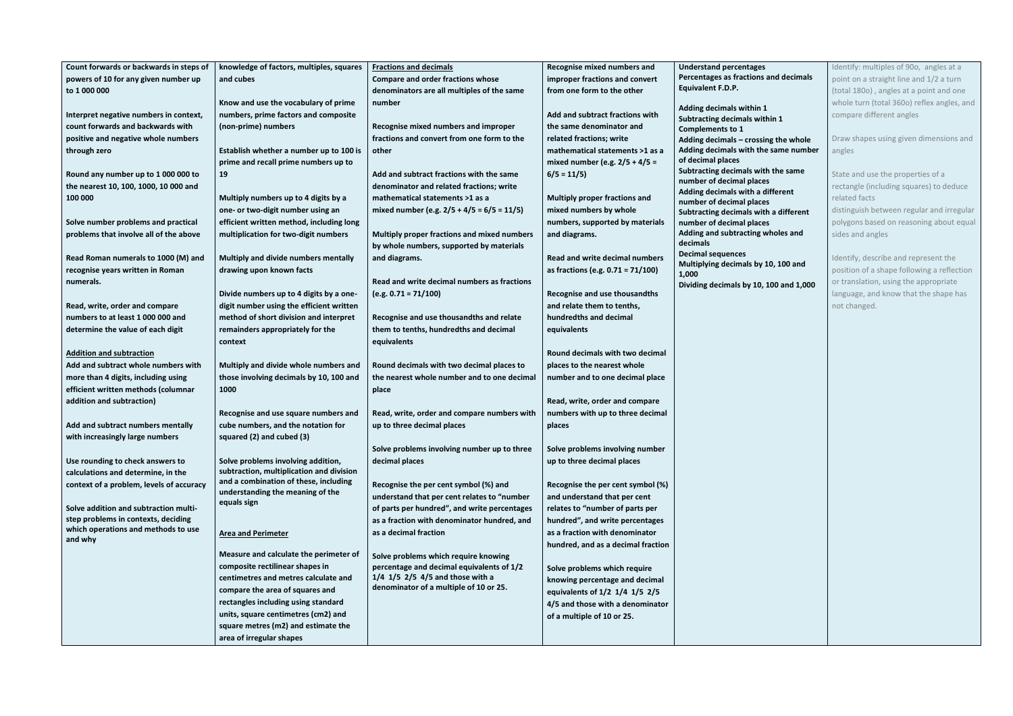| Count forwards or backwards in steps of  | knowledge of factors, multiples, squares | <b>Fractions and decimals</b>                 | Recognise mixed numbers and           | <b>Understand percentages</b>                           | Identify: multiples of 900, angles at a    |
|------------------------------------------|------------------------------------------|-----------------------------------------------|---------------------------------------|---------------------------------------------------------|--------------------------------------------|
| powers of 10 for any given number up     | and cubes                                | <b>Compare and order fractions whose</b>      | improper fractions and convert        | Percentages as fractions and decimals                   | point on a straight line and 1/2 a turn    |
| to 1 000 000                             |                                          | denominators are all multiples of the same    | from one form to the other            | <b>Equivalent F.D.P.</b>                                | (total 1800), angles at a point and one    |
|                                          | Know and use the vocabulary of prime     | number                                        |                                       |                                                         | whole turn (total 360o) reflex angles, and |
|                                          |                                          |                                               |                                       | Adding decimals within 1                                |                                            |
| Interpret negative numbers in context,   | numbers, prime factors and composite     |                                               | Add and subtract fractions with       | Subtracting decimals within 1                           | compare different angles                   |
| count forwards and backwards with        | (non-prime) numbers                      | Recognise mixed numbers and improper          | the same denominator and              | <b>Complements to 1</b>                                 |                                            |
| positive and negative whole numbers      |                                          | fractions and convert from one form to the    | related fractions; write              | Adding decimals - crossing the whole                    | Draw shapes using given dimensions and     |
| through zero                             | Establish whether a number up to 100 is  | other                                         | mathematical statements >1 as a       | Adding decimals with the same number                    | angles                                     |
|                                          | prime and recall prime numbers up to     |                                               | mixed number (e.g. $2/5 + 4/5 =$      | of decimal places<br>Subtracting decimals with the same |                                            |
| Round any number up to 1 000 000 to      | 19                                       | Add and subtract fractions with the same      | $6/5 = 11/5$                          | number of decimal places                                | State and use the properties of a          |
| the nearest 10, 100, 1000, 10 000 and    |                                          | denominator and related fractions; write      |                                       | Adding decimals with a different                        | rectangle (including squares) to deduce    |
| 100 000                                  | Multiply numbers up to 4 digits by a     | mathematical statements >1 as a               | <b>Multiply proper fractions and</b>  | number of decimal places                                | related facts                              |
|                                          | one- or two-digit number using an        | mixed number (e.g. $2/5 + 4/5 = 6/5 = 11/5$ ) | mixed numbers by whole                | Subtracting decimals with a different                   | distinguish between regular and irregular  |
| Solve number problems and practical      | efficient written method, including long |                                               | numbers, supported by materials       | number of decimal places                                | polygons based on reasoning about equal    |
| problems that involve all of the above   | multiplication for two-digit numbers     | Multiply proper fractions and mixed numbers   | and diagrams.                         | Adding and subtracting wholes and                       | sides and angles                           |
|                                          |                                          | by whole numbers, supported by materials      |                                       | decimals                                                |                                            |
| Read Roman numerals to 1000 (M) and      | Multiply and divide numbers mentally     | and diagrams.                                 | <b>Read and write decimal numbers</b> | <b>Decimal sequences</b>                                | Identify, describe and represent the       |
| recognise years written in Roman         | drawing upon known facts                 |                                               | as fractions (e.g. $0.71 = 71/100$ )  | Multiplying decimals by 10, 100 and<br>1,000            | position of a shape following a reflection |
| numerals.                                |                                          | Read and write decimal numbers as fractions   |                                       | Dividing decimals by 10, 100 and 1,000                  | or translation, using the appropriate      |
|                                          | Divide numbers up to 4 digits by a one-  | $(e.g. 0.71 = 71/100)$                        | Recognise and use thousandths         |                                                         | language, and know that the shape has      |
| Read, write, order and compare           | digit number using the efficient written |                                               | and relate them to tenths,            |                                                         | not changed.                               |
| numbers to at least 1 000 000 and        | method of short division and interpret   | Recognise and use thousandths and relate      | hundredths and decimal                |                                                         |                                            |
| determine the value of each digit        | remainders appropriately for the         | them to tenths, hundredths and decimal        | equivalents                           |                                                         |                                            |
|                                          | context                                  | equivalents                                   |                                       |                                                         |                                            |
| <b>Addition and subtraction</b>          |                                          |                                               | Round decimals with two decimal       |                                                         |                                            |
| Add and subtract whole numbers with      | Multiply and divide whole numbers and    | Round decimals with two decimal places to     | places to the nearest whole           |                                                         |                                            |
| more than 4 digits, including using      | those involving decimals by 10, 100 and  | the nearest whole number and to one decimal   | number and to one decimal place       |                                                         |                                            |
| efficient written methods (columnar      | 1000                                     | place                                         |                                       |                                                         |                                            |
| addition and subtraction)                |                                          |                                               | Read, write, order and compare        |                                                         |                                            |
|                                          | Recognise and use square numbers and     | Read, write, order and compare numbers with   | numbers with up to three decimal      |                                                         |                                            |
| Add and subtract numbers mentally        | cube numbers, and the notation for       | up to three decimal places                    | places                                |                                                         |                                            |
| with increasingly large numbers          | squared (2) and cubed (3)                |                                               |                                       |                                                         |                                            |
|                                          |                                          | Solve problems involving number up to three   | Solve problems involving number       |                                                         |                                            |
| Use rounding to check answers to         | Solve problems involving addition,       | decimal places                                | up to three decimal places            |                                                         |                                            |
| calculations and determine, in the       | subtraction, multiplication and division |                                               |                                       |                                                         |                                            |
| context of a problem, levels of accuracy | and a combination of these, including    | Recognise the per cent symbol (%) and         | Recognise the per cent symbol (%)     |                                                         |                                            |
|                                          | understanding the meaning of the         | understand that per cent relates to "number   | and understand that per cent          |                                                         |                                            |
| Solve addition and subtraction multi-    | equals sign                              | of parts per hundred", and write percentages  | relates to "number of parts per       |                                                         |                                            |
| step problems in contexts, deciding      |                                          | as a fraction with denominator hundred, and   | hundred", and write percentages       |                                                         |                                            |
| which operations and methods to use      |                                          | as a decimal fraction                         | as a fraction with denominator        |                                                         |                                            |
| and why                                  | <b>Area and Perimeter</b>                |                                               |                                       |                                                         |                                            |
|                                          | Measure and calculate the perimeter of   | Solve problems which require knowing          | hundred, and as a decimal fraction    |                                                         |                                            |
|                                          | composite rectilinear shapes in          | percentage and decimal equivalents of 1/2     | Solve problems which require          |                                                         |                                            |
|                                          | centimetres and metres calculate and     | $1/4$ 1/5 2/5 4/5 and those with a            | knowing percentage and decimal        |                                                         |                                            |
|                                          | compare the area of squares and          | denominator of a multiple of 10 or 25.        |                                       |                                                         |                                            |
|                                          | rectangles including using standard      |                                               | equivalents of 1/2 1/4 1/5 2/5        |                                                         |                                            |
|                                          | units, square centimetres (cm2) and      |                                               | 4/5 and those with a denominator      |                                                         |                                            |
|                                          | square metres (m2) and estimate the      |                                               | of a multiple of 10 or 25.            |                                                         |                                            |
|                                          |                                          |                                               |                                       |                                                         |                                            |
|                                          | area of irregular shapes                 |                                               |                                       |                                                         |                                            |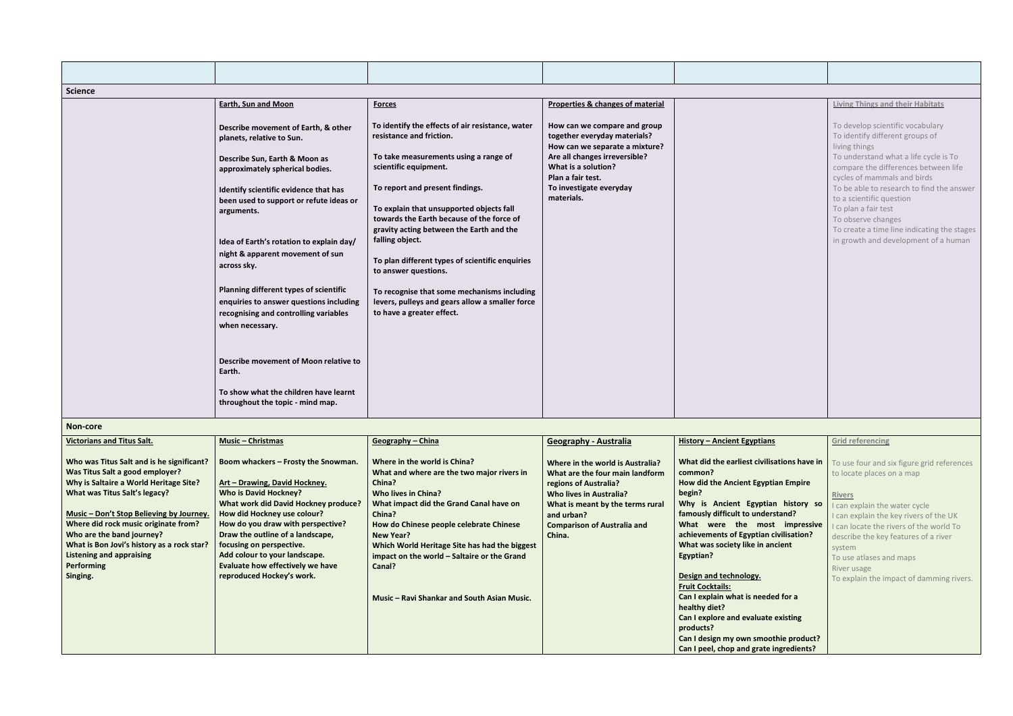| <b>Science</b>                                                                                                                                                                                                                                                                                                                                                                      |                                                                                                                                                                                                                                                                                                                                                                                                                                                                                                                                           |                                                                                                                                                                                                                                                                                                                                                                                                                                                                                                                                                     |                                                                                                                                                                                                                                  |                                                                                                                                                                                                                                                                                                                                                                                                                                                                                                                                                                    |                                                                                                                                                                                                                                                                                                                                                                                                                   |
|-------------------------------------------------------------------------------------------------------------------------------------------------------------------------------------------------------------------------------------------------------------------------------------------------------------------------------------------------------------------------------------|-------------------------------------------------------------------------------------------------------------------------------------------------------------------------------------------------------------------------------------------------------------------------------------------------------------------------------------------------------------------------------------------------------------------------------------------------------------------------------------------------------------------------------------------|-----------------------------------------------------------------------------------------------------------------------------------------------------------------------------------------------------------------------------------------------------------------------------------------------------------------------------------------------------------------------------------------------------------------------------------------------------------------------------------------------------------------------------------------------------|----------------------------------------------------------------------------------------------------------------------------------------------------------------------------------------------------------------------------------|--------------------------------------------------------------------------------------------------------------------------------------------------------------------------------------------------------------------------------------------------------------------------------------------------------------------------------------------------------------------------------------------------------------------------------------------------------------------------------------------------------------------------------------------------------------------|-------------------------------------------------------------------------------------------------------------------------------------------------------------------------------------------------------------------------------------------------------------------------------------------------------------------------------------------------------------------------------------------------------------------|
|                                                                                                                                                                                                                                                                                                                                                                                     | <b>Earth, Sun and Moon</b>                                                                                                                                                                                                                                                                                                                                                                                                                                                                                                                | <b>Forces</b>                                                                                                                                                                                                                                                                                                                                                                                                                                                                                                                                       | Properties & changes of material                                                                                                                                                                                                 |                                                                                                                                                                                                                                                                                                                                                                                                                                                                                                                                                                    | <b>Living Things and their Habitats</b>                                                                                                                                                                                                                                                                                                                                                                           |
|                                                                                                                                                                                                                                                                                                                                                                                     | Describe movement of Earth, & other<br>planets, relative to Sun.<br>Describe Sun, Earth & Moon as<br>approximately spherical bodies.<br>Identify scientific evidence that has<br>been used to support or refute ideas or<br>arguments.<br>Idea of Earth's rotation to explain day/<br>night & apparent movement of sun<br>across sky.<br>Planning different types of scientific<br>enquiries to answer questions including<br>recognising and controlling variables<br>when necessary.<br>Describe movement of Moon relative to<br>Earth. | To identify the effects of air resistance, water<br>resistance and friction.<br>To take measurements using a range of<br>scientific equipment.<br>To report and present findings.<br>To explain that unsupported objects fall<br>towards the Earth because of the force of<br>gravity acting between the Earth and the<br>falling object.<br>To plan different types of scientific enquiries<br>to answer questions.<br>To recognise that some mechanisms including<br>levers, pulleys and gears allow a smaller force<br>to have a greater effect. | How can we compare and group<br>together everyday materials?<br>How can we separate a mixture?<br>Are all changes irreversible?<br>What is a solution?<br>Plan a fair test.<br>To investigate everyday<br>materials.             |                                                                                                                                                                                                                                                                                                                                                                                                                                                                                                                                                                    | To develop scientific vocabulary<br>To identify different groups of<br>living things<br>To understand what a life cycle is To<br>compare the differences between life<br>cycles of mammals and birds<br>To be able to research to find the answer<br>to a scientific question<br>To plan a fair test<br>To observe changes<br>To create a time line indicating the stages<br>in growth and development of a human |
|                                                                                                                                                                                                                                                                                                                                                                                     | To show what the children have learnt<br>throughout the topic - mind map.                                                                                                                                                                                                                                                                                                                                                                                                                                                                 |                                                                                                                                                                                                                                                                                                                                                                                                                                                                                                                                                     |                                                                                                                                                                                                                                  |                                                                                                                                                                                                                                                                                                                                                                                                                                                                                                                                                                    |                                                                                                                                                                                                                                                                                                                                                                                                                   |
| Non-core                                                                                                                                                                                                                                                                                                                                                                            |                                                                                                                                                                                                                                                                                                                                                                                                                                                                                                                                           |                                                                                                                                                                                                                                                                                                                                                                                                                                                                                                                                                     |                                                                                                                                                                                                                                  |                                                                                                                                                                                                                                                                                                                                                                                                                                                                                                                                                                    |                                                                                                                                                                                                                                                                                                                                                                                                                   |
| <b>Victorians and Titus Salt.</b>                                                                                                                                                                                                                                                                                                                                                   | <b>Music - Christmas</b>                                                                                                                                                                                                                                                                                                                                                                                                                                                                                                                  | Geography - China                                                                                                                                                                                                                                                                                                                                                                                                                                                                                                                                   | <b>Geography - Australia</b>                                                                                                                                                                                                     | <b>History - Ancient Egyptians</b>                                                                                                                                                                                                                                                                                                                                                                                                                                                                                                                                 | <b>Grid referencing</b>                                                                                                                                                                                                                                                                                                                                                                                           |
| Who was Titus Salt and is he significant?<br>Was Titus Salt a good employer?<br>Why is Saltaire a World Heritage Site?<br>What was Titus Salt's legacy?<br>Music - Don't Stop Believing by Journey.<br>Where did rock music originate from?<br>Who are the band journey?<br>What is Bon Jovi's history as a rock star?<br><b>Listening and appraising</b><br>Performing<br>Singing. | Boom whackers - Frosty the Snowman.<br>Art - Drawing, David Hockney.<br><b>Who is David Hockney?</b><br><b>What work did David Hockney produce?</b><br>How did Hockney use colour?<br>How do you draw with perspective?<br>Draw the outline of a landscape,<br>focusing on perspective.<br>Add colour to your landscape.<br>Evaluate how effectively we have<br>reproduced Hockey's work.                                                                                                                                                 | Where in the world is China?<br>What and where are the two major rivers in<br>China?<br>Who lives in China?<br>What impact did the Grand Canal have on<br>China?<br>How do Chinese people celebrate Chinese<br><b>New Year?</b><br>Which World Heritage Site has had the biggest<br>impact on the world - Saltaire or the Grand<br>Canal?<br>Music - Ravi Shankar and South Asian Music.                                                                                                                                                            | Where in the world is Australia?<br>What are the four main landform<br>regions of Australia?<br><b>Who lives in Australia?</b><br>What is meant by the terms rural<br>and urban?<br><b>Comparison of Australia and</b><br>China. | What did the earliest civilisations have in<br>common?<br>How did the Ancient Egyptian Empire<br>begin?<br>Why is Ancient Egyptian history so<br>famously difficult to understand?<br>What were the most impressive<br>achievements of Egyptian civilisation?<br>What was society like in ancient<br>Egyptian?<br>Design and technology.<br><b>Fruit Cocktails:</b><br>Can I explain what is needed for a<br>healthy diet?<br>Can I explore and evaluate existing<br>products?<br>Can I design my own smoothie product?<br>Can I peel, chop and grate ingredients? | To use four and six figure grid references<br>to locate places on a map<br><b>Rivers</b><br>I can explain the water cycle<br>I can explain the key rivers of the UK<br>I can locate the rivers of the world To<br>describe the key features of a river<br>system<br>To use atlases and maps<br>River usage<br>To explain the impact of damming rivers.                                                            |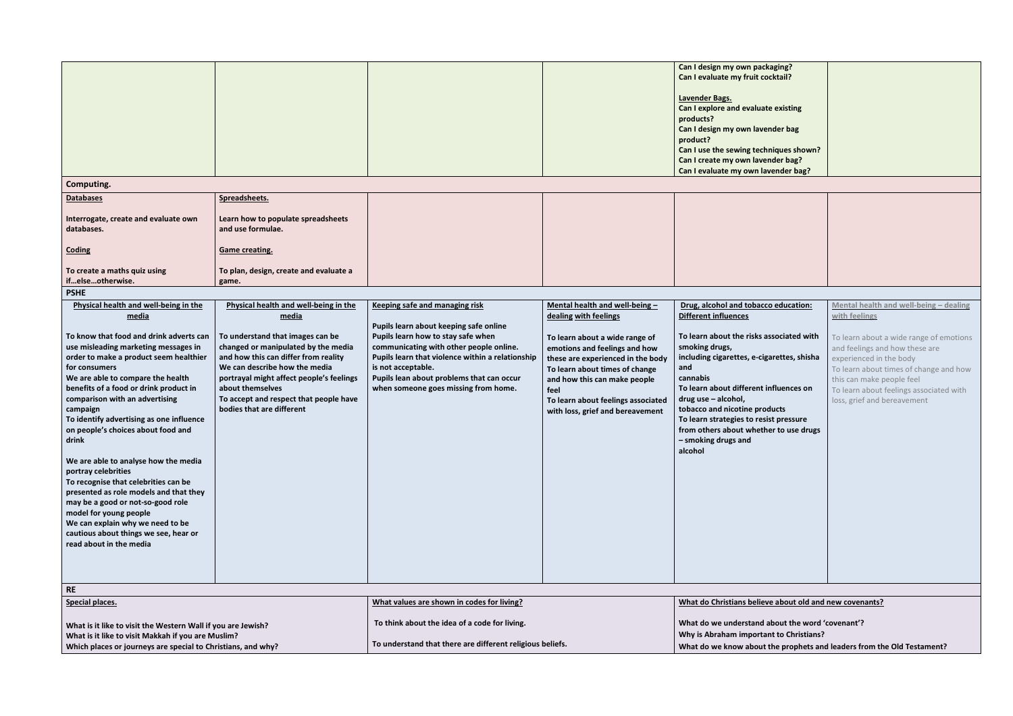| Computing.<br><b>Databases</b><br>Interrogate, create and evaluate own<br>databases.                                                                                                                                                                                                                                                                                                                                                                                                                                                                                                                                                                                                                                                         | Spreadsheets.<br>Learn how to populate spreadsheets<br>and use formulae.                                                                                                                                                                                                                                                                  |                                                                                                                                                                                                                                                                                                                                 |                                                                                                                                                                                                                                                                                                                    | Can I design my own packaging?<br>Can I evaluate my fruit cocktail?<br>Lavender Bags.<br>Can I explore and evaluate existing<br>products?<br>Can I design my own lavender bag<br>product?<br>Can I use the sewing techniques shown?<br>Can I create my own lavender bag?<br>Can I evaluate my own lavender bag?                                                                                                     |
|----------------------------------------------------------------------------------------------------------------------------------------------------------------------------------------------------------------------------------------------------------------------------------------------------------------------------------------------------------------------------------------------------------------------------------------------------------------------------------------------------------------------------------------------------------------------------------------------------------------------------------------------------------------------------------------------------------------------------------------------|-------------------------------------------------------------------------------------------------------------------------------------------------------------------------------------------------------------------------------------------------------------------------------------------------------------------------------------------|---------------------------------------------------------------------------------------------------------------------------------------------------------------------------------------------------------------------------------------------------------------------------------------------------------------------------------|--------------------------------------------------------------------------------------------------------------------------------------------------------------------------------------------------------------------------------------------------------------------------------------------------------------------|---------------------------------------------------------------------------------------------------------------------------------------------------------------------------------------------------------------------------------------------------------------------------------------------------------------------------------------------------------------------------------------------------------------------|
| Coding<br>To create a maths quiz using<br>ifelseotherwise.                                                                                                                                                                                                                                                                                                                                                                                                                                                                                                                                                                                                                                                                                   | <b>Game creating.</b><br>To plan, design, create and evaluate a<br>game.                                                                                                                                                                                                                                                                  |                                                                                                                                                                                                                                                                                                                                 |                                                                                                                                                                                                                                                                                                                    |                                                                                                                                                                                                                                                                                                                                                                                                                     |
| <b>PSHE</b>                                                                                                                                                                                                                                                                                                                                                                                                                                                                                                                                                                                                                                                                                                                                  |                                                                                                                                                                                                                                                                                                                                           |                                                                                                                                                                                                                                                                                                                                 |                                                                                                                                                                                                                                                                                                                    |                                                                                                                                                                                                                                                                                                                                                                                                                     |
| Physical health and well-being in the<br>media<br>To know that food and drink adverts can<br>use misleading marketing messages in<br>order to make a product seem healthier<br>for consumers<br>We are able to compare the health<br>benefits of a food or drink product in<br>comparison with an advertising<br>campaign<br>To identify advertising as one influence<br>on people's choices about food and<br>drink<br>We are able to analyse how the media<br>portray celebrities<br>To recognise that celebrities can be<br>presented as role models and that they<br>may be a good or not-so-good role<br>model for young people<br>We can explain why we need to be<br>cautious about things we see, hear or<br>read about in the media | Physical health and well-being in the<br>media<br>To understand that images can be<br>changed or manipulated by the media<br>and how this can differ from reality<br>We can describe how the media<br>portrayal might affect people's feelings<br>about themselves<br>To accept and respect that people have<br>bodies that are different | <b>Keeping safe and managing risk</b><br>Pupils learn about keeping safe online<br>Pupils learn how to stay safe when<br>communicating with other people online.<br>Pupils learn that violence within a relationship<br>is not acceptable.<br>Pupils lean about problems that can occur<br>when someone goes missing from home. | Mental health and well-being-<br>dealing with feelings<br>To learn about a wide range of<br>emotions and feelings and how<br>these are experienced in the body<br>To learn about times of change<br>and how this can make people<br>feel<br>To learn about feelings associated<br>with loss, grief and bereavement | Drug, alcohol and tobacco education:<br>Different influences<br>To learn about the risks associated with<br>smoking drugs,<br>including cigarettes, e-cigarettes, shisha<br>and<br>cannabis<br>To learn about different influences on<br>drug use - alcohol,<br>tobacco and nicotine products<br>To learn strategies to resist pressure<br>from others about whether to use drugs<br>- smoking drugs and<br>alcohol |
| <b>RE</b>                                                                                                                                                                                                                                                                                                                                                                                                                                                                                                                                                                                                                                                                                                                                    |                                                                                                                                                                                                                                                                                                                                           |                                                                                                                                                                                                                                                                                                                                 |                                                                                                                                                                                                                                                                                                                    |                                                                                                                                                                                                                                                                                                                                                                                                                     |
| Special places.                                                                                                                                                                                                                                                                                                                                                                                                                                                                                                                                                                                                                                                                                                                              |                                                                                                                                                                                                                                                                                                                                           | What values are shown in codes for living?                                                                                                                                                                                                                                                                                      |                                                                                                                                                                                                                                                                                                                    | What do Christians believe about old and                                                                                                                                                                                                                                                                                                                                                                            |

| Mental health and well-being - dealing<br>with feelings                                                                                                                                                                                               |
|-------------------------------------------------------------------------------------------------------------------------------------------------------------------------------------------------------------------------------------------------------|
| To learn about a wide range of emotions<br>and feelings and how these are<br>experienced in the body<br>To learn about times of change and how<br>this can make people feel<br>To learn about feelings associated with<br>loss, grief and bereavement |
|                                                                                                                                                                                                                                                       |
|                                                                                                                                                                                                                                                       |

## **We about old and new covenants?**

**What is it like to visit the Western Wall if you are Jewish?**

**What is it like to visit Makkah if you are Muslim?**

**Which places or journeys are special to Christians, and why?**

**To think about the idea of a code for living.** 

**To understand that there are different religious beliefs.** 

## **What do we understand about the word 'covenant'?**

## **Why is Abraham important to Christians?**

## **What do we know about the prophets and leaders from the Old Testament?**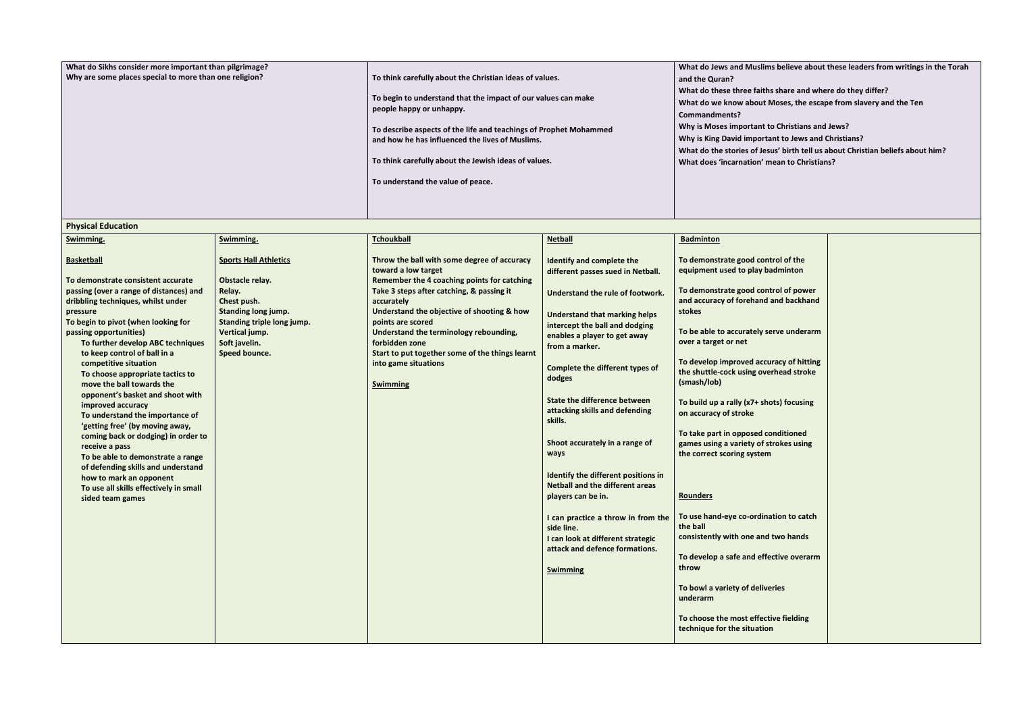| What do Sikhs consider more important than pilgrimage? |                                                                   | <b>What do Jews and Muslin</b> |
|--------------------------------------------------------|-------------------------------------------------------------------|--------------------------------|
| Why are some places special to more than one religion? | To think carefully about the Christian ideas of values.           | and the Quran?                 |
|                                                        |                                                                   | What do these three faith      |
|                                                        | To begin to understand that the impact of our values can make     | What do we know about          |
|                                                        | people happy or unhappy.                                          | Commandments?                  |
|                                                        | To describe aspects of the life and teachings of Prophet Mohammed | Why is Moses important t       |
|                                                        | and how he has influenced the lives of Muslims.                   | Why is King David importa      |
|                                                        |                                                                   | What do the stories of Jes     |
|                                                        | To think carefully about the Jewish ideas of values.              | What does 'incarnation' n      |
|                                                        |                                                                   |                                |
|                                                        | To understand the value of peace.                                 |                                |
|                                                        |                                                                   |                                |
|                                                        |                                                                   |                                |

| <b>Physical Education</b>                                                                                                                                                                                                                                                                                                 |                                                                                                                                       |                                                                                                                                                                                                                                                                   |                                                                                                                                                                                                                  |                                                                                                                                                                                                                                                                |
|---------------------------------------------------------------------------------------------------------------------------------------------------------------------------------------------------------------------------------------------------------------------------------------------------------------------------|---------------------------------------------------------------------------------------------------------------------------------------|-------------------------------------------------------------------------------------------------------------------------------------------------------------------------------------------------------------------------------------------------------------------|------------------------------------------------------------------------------------------------------------------------------------------------------------------------------------------------------------------|----------------------------------------------------------------------------------------------------------------------------------------------------------------------------------------------------------------------------------------------------------------|
| Swimming.                                                                                                                                                                                                                                                                                                                 | Swimming.                                                                                                                             | <b>Tchoukball</b>                                                                                                                                                                                                                                                 | <b>Netball</b>                                                                                                                                                                                                   | <b>Badminton</b>                                                                                                                                                                                                                                               |
| <b>Basketball</b><br>To demonstrate consistent accurate                                                                                                                                                                                                                                                                   | <b>Sports Hall Athletics</b><br>Obstacle relay.                                                                                       | Throw the ball with some degree of accuracy<br>toward a low target<br>Remember the 4 coaching points for catching                                                                                                                                                 | Identify and complete the<br>different passes sued in Netball.                                                                                                                                                   | To demonstrate good control of the<br>equipment used to play badminton                                                                                                                                                                                         |
| passing (over a range of distances) and<br>dribbling techniques, whilst under<br>pressure<br>To begin to pivot (when looking for<br>passing opportunities)<br>To further develop ABC techniques<br>to keep control of ball in a<br>competitive situation<br>To choose appropriate tactics to<br>move the ball towards the | Relay.<br>Chest push.<br><b>Standing long jump.</b><br>Standing triple long jump.<br>Vertical jump.<br>Soft javelin.<br>Speed bounce. | Take 3 steps after catching, & passing it<br>accurately<br>Understand the objective of shooting & how<br>points are scored<br>Understand the terminology rebounding,<br>forbidden zone<br>Start to put together some of the things learnt<br>into game situations | Understand the rule of footwork.<br><b>Understand that marking helps</b><br>intercept the ball and dodging<br>enables a player to get away<br>from a marker.<br><b>Complete the different types of</b><br>dodges | To demonstrate good control of power<br>and accuracy of forehand and backhand<br>stokes<br>To be able to accurately serve underarm<br>over a target or net<br>To develop improved accuracy of hitting<br>the shuttle-cock using overhead stroke<br>(smash/lob) |
| opponent's basket and shoot with<br>improved accuracy<br>To understand the importance of<br>'getting free' (by moving away,<br>coming back or dodging) in order to<br>receive a pass<br>To be able to demonstrate a range<br>of defending skills and understand<br>how to mark an opponent                                |                                                                                                                                       | <b>Swimming</b>                                                                                                                                                                                                                                                   | <b>State the difference between</b><br>attacking skills and defending<br>skills.<br>Shoot accurately in a range of<br>ways<br>Identify the different positions in                                                | To build up a rally (x7+ shots) focusing<br>on accuracy of stroke<br>To take part in opposed conditioned<br>games using a variety of strokes using<br>the correct scoring system                                                                               |
| To use all skills effectively in small<br>sided team games                                                                                                                                                                                                                                                                |                                                                                                                                       |                                                                                                                                                                                                                                                                   | <b>Netball and the different areas</b><br>players can be in.<br>I can practice a throw in from the<br>side line.<br>I can look at different strategic<br>attack and defence formations.<br><b>Swimming</b>       | <b>Rounders</b><br>To use hand-eye co-ordination to catch<br>the ball<br>consistently with one and two hands<br>To develop a safe and effective overarm<br>throw                                                                                               |
|                                                                                                                                                                                                                                                                                                                           |                                                                                                                                       |                                                                                                                                                                                                                                                                   |                                                                                                                                                                                                                  | To bowl a variety of deliveries<br>underarm<br>To choose the most effective fielding<br>technique for the situation                                                                                                                                            |

**Might** ms believe about these leaders from writings in the Torah **hs share and where do they differ? Moses, the escape from slavery and the Ten** to Christians and Jews?

- **Which is News and Christians?**
- sus' birth tell us about Christian beliefs about him?
- **mean to Christians?**

| ntrol of the<br>badminton           |  |
|-------------------------------------|--|
| ntrol of power<br>d and backhand    |  |
| serve underarm                      |  |
| curacy of hitting<br>verhead stroke |  |
| hots) focusing                      |  |
| conditioned<br>strokes using<br>m   |  |
|                                     |  |
| nation to catch                     |  |
| d two hands                         |  |
| fective overarm                     |  |
| veries                              |  |
| ctive fielding<br>on                |  |